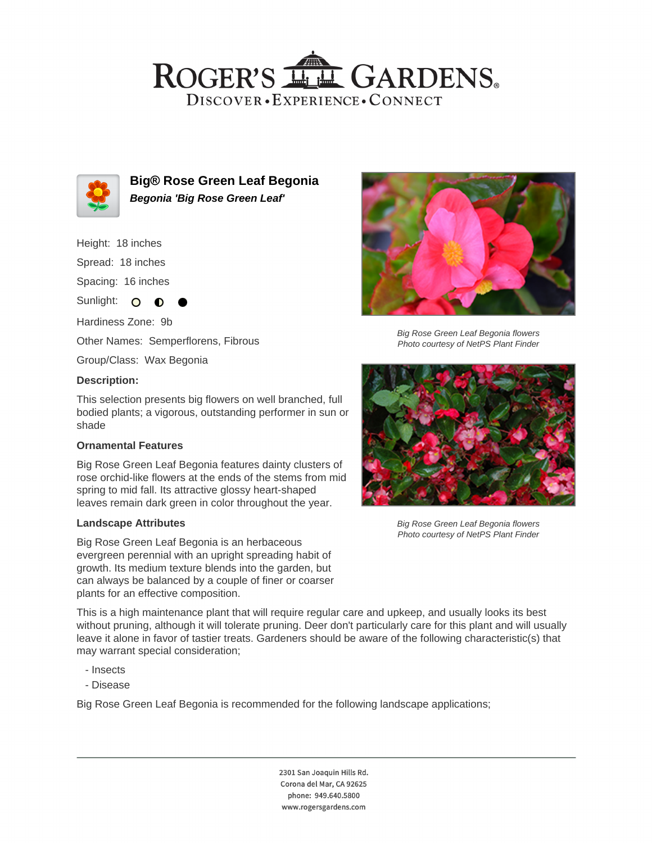## ROGER'S LL GARDENS. DISCOVER · EXPERIENCE · CONNECT



**Big® Rose Green Leaf Begonia Begonia 'Big Rose Green Leaf'**

Height: 18 inches

Spread: 18 inches

Spacing: 16 inches

Sunlight:  $\overline{O}$ ∩

Hardiness Zone: 9b

Other Names: Semperflorens, Fibrous

Group/Class: Wax Begonia

#### **Description:**

This selection presents big flowers on well branched, full bodied plants; a vigorous, outstanding performer in sun or shade

#### **Ornamental Features**

Big Rose Green Leaf Begonia features dainty clusters of rose orchid-like flowers at the ends of the stems from mid spring to mid fall. Its attractive glossy heart-shaped leaves remain dark green in color throughout the year.

#### **Landscape Attributes**

Big Rose Green Leaf Begonia is an herbaceous evergreen perennial with an upright spreading habit of growth. Its medium texture blends into the garden, but can always be balanced by a couple of finer or coarser plants for an effective composition.



Big Rose Green Leaf Begonia flowers Photo courtesy of NetPS Plant Finder



Big Rose Green Leaf Begonia flowers Photo courtesy of NetPS Plant Finder

This is a high maintenance plant that will require regular care and upkeep, and usually looks its best without pruning, although it will tolerate pruning. Deer don't particularly care for this plant and will usually leave it alone in favor of tastier treats. Gardeners should be aware of the following characteristic(s) that may warrant special consideration;

- Insects
- Disease

Big Rose Green Leaf Begonia is recommended for the following landscape applications;

2301 San Joaquin Hills Rd. Corona del Mar, CA 92625 phone: 949.640.5800 www.rogersgardens.com